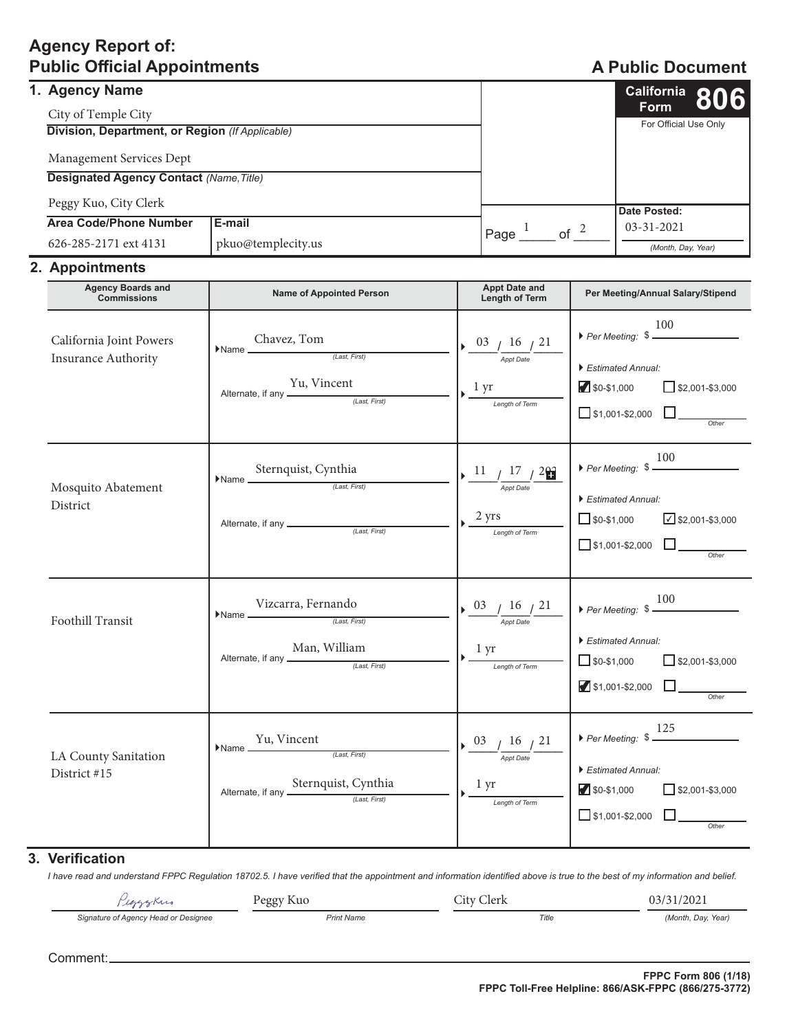# **Agency Report of: 2XECOLFIGRATION A Public Official Appointments A Public Document**

| 1. Agency Name                                  |                    |  |            |                       | $\frac{\text{California}}{\text{Form}}$ 806 |  |
|-------------------------------------------------|--------------------|--|------------|-----------------------|---------------------------------------------|--|
| City of Temple City                             |                    |  |            |                       | <b>Form</b>                                 |  |
| Division, Department, or Region (If Applicable) |                    |  |            | For Official Use Only |                                             |  |
| Management Services Dept                        |                    |  |            |                       |                                             |  |
| <b>Designated Agency Contact (Name, Title)</b>  |                    |  |            |                       |                                             |  |
| Peggy Kuo, City Clerk                           |                    |  |            |                       | Date Posted:                                |  |
| <b>Area Code/Phone Number</b>                   | E-mail             |  |            |                       | $03 - 31 - 2021$<br>(Month, Day, Year)      |  |
| 626-285-2171 ext 4131                           | pkuo@templecity.us |  | of<br>Page |                       |                                             |  |

## 2. Appointments

| <b>Agency Boards and</b><br><b>Commissions</b>        | <b>Name of Appointed Person</b>                                                                                                                                                             | <b>Appt Date and</b><br>Length of Term                                                                                                      | Per Meeting/Annual Salary/Stipend                                                                                                                              |
|-------------------------------------------------------|---------------------------------------------------------------------------------------------------------------------------------------------------------------------------------------------|---------------------------------------------------------------------------------------------------------------------------------------------|----------------------------------------------------------------------------------------------------------------------------------------------------------------|
| California Joint Powers<br><b>Insurance Authority</b> | $\blacktriangleright \mathsf{Name} \xrightarrow{\mathsf{Chavez, Tom}} \underbrace{\mathsf{Last}, \mathsf{First}}$<br>Alternate, if any Yu, Vincent (Last, First)                            | $\frac{03}{\frac{16}{\text{Appt Date}}}\frac{16}{21}$<br>$\sqrt{\frac{1 \text{ yr}}{2}}$                                                    | 100<br>$\triangleright$ Per Meeting: $\frac{100}{2}$<br>Estimated Annual:<br>$\Box$ \$1,001-\$2,000 $\Box$                                                     |
| Mosquito Abatement<br>District                        | Sternquist, Cynthia<br>$\blacktriangleright$ Name $\equiv$                                                                                                                                  | $\frac{11}{\frac{11}{\text{Appt Date}} \frac{17}{\text{20}}}$<br>$\frac{2 \text{ yrs}}{\text{Length of Term}}$                              | $\triangleright$ Per Meeting: $\frac{100}{2}$<br>Estimated Annual:<br>$\Box$ \$0-\$1,000 $\Box$ \$2,001-\$3,000<br>$\Box$ \$1,001-\$2,000 $\Box$               |
| Foothill Transit                                      | ${\color{red}\hbox{Name}} \underbrace{\text{Vizcarra, Fernando}}_{\text{\color{red}\hbox{(Last, First)}}}$<br>Alternate, if any $\underbrace{\text{Man, William}}_{\textit{(Last, First)}}$ | $\frac{03}{\frac{4}{\text{Appt Date}}} \frac{16}{21}$<br>$\frac{1 \text{ yr}}{2 \cdot \text{Length of Term}}$                               | $\triangleright$ Per Meeting: $\frac{100}{2}$<br>Estimated Annual:<br>$\Box$ \$0-\$1,000 $\Box$ \$2,001-\$3,000<br>$\blacksquare$ \$1,001-\$2,000              |
| LA County Sanitation<br>District #15                  | $\blacktriangleright$ Name $\underbrace{\hspace{1cm}Yu, Vincent}_{(Last, First)}$<br>Alternate, if any <u>Sternquist, Cynthia</u>                                                           | $\triangleright$ $\frac{03}{\frac{16}{\text{Appt Date}}}$ $\frac{21}{\frac{21}{\text{Appt Date}}}$<br>$\frac{1 \text{ yr}}{Length of Term}$ | 125<br>$\triangleright$ Per Meeting: $\frac{120}{120}$<br>Estimated Annual:<br>$$0-$1,000$<br>$\Box$ \$2,001-\$3,000<br>$\Box$ \$1,001-\$2,000 $\Box$<br>Other |

# **3. Verification**

I have read and understand FPPC Regulation 18702.5. I have verified that the appointment and information identified above is true to the best of my information and belief.

| lexygress                            | Peggy Kuo         | $\sim$ 1<br>Clerk<br>$\cup$ ity $\mathfrak{c}$ | 03/31/2021         |
|--------------------------------------|-------------------|------------------------------------------------|--------------------|
| Signature of Agency Head or Designee | <b>Print Name</b> | Title                                          | (Month, Day, Year) |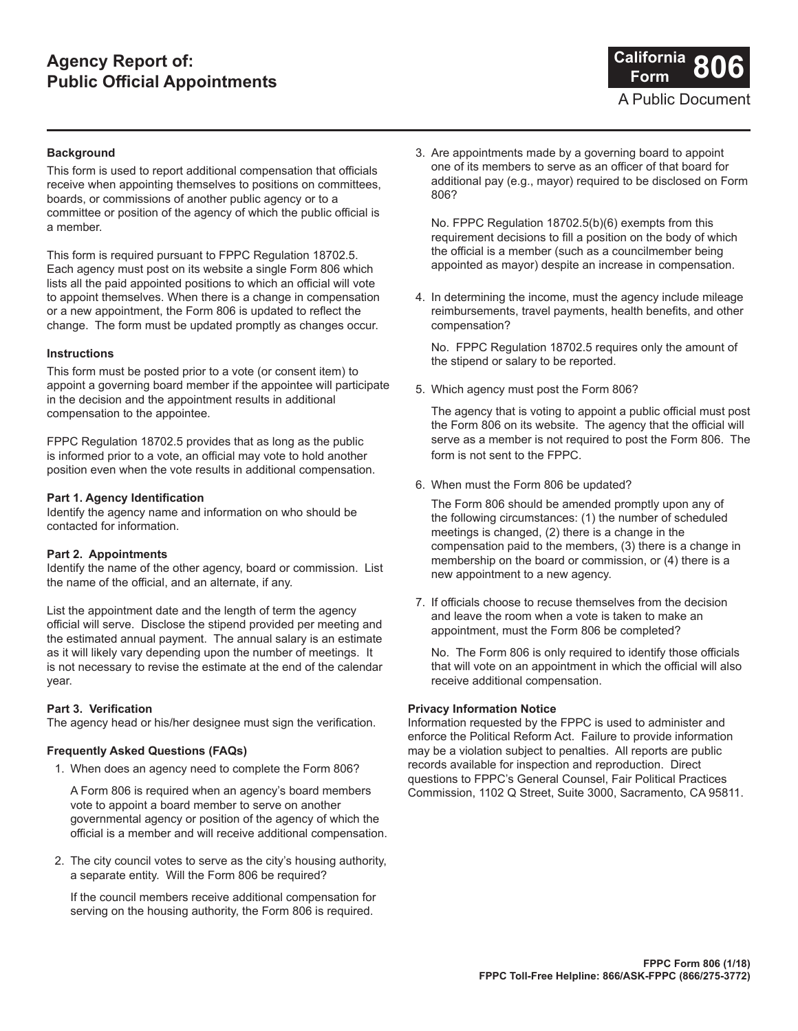# **Agency Report of: Public Official Appointments**



### **Background**

This form is used to report additional compensation that officials receive when appointing themselves to positions on committees, boards, or commissions of another public agency or to a committee or position of the agency of which the public official is a member.

This form is required pursuant to FPPC Regulation 18702.5. Each agency must post on its website a single Form 806 which lists all the paid appointed positions to which an official will vote to appoint themselves. When there is a change in compensation or a new appointment, the Form 806 is updated to reflect the change. The form must be updated promptly as changes occur.

### **Instructions**

This form must be posted prior to a vote (or consent item) to appoint a governing board member if the appointee will participate in the decision and the appointment results in additional compensation to the appointee.

FPPC Regulation 18702.5 provides that as long as the public is informed prior to a vote, an official may vote to hold another position even when the vote results in additional compensation.

### **Part 1. Agency Identification**

Identify the agency name and information on who should be contacted for information.

### **Part 2. Appointments**

Identify the name of the other agency, board or commission. List the name of the official, and an alternate, if any.

List the appointment date and the length of term the agency official will serve. Disclose the stipend provided per meeting and the estimated annual payment. The annual salary is an estimate as it will likely vary depending upon the number of meetings. It is not necessary to revise the estimate at the end of the calendar year.

### **Part 3. Verification**

The agency head or his/her designee must sign the verification.

### **Frequently Asked Questions (FAQs)**

1. When does an agency need to complete the Form 806?

A Form 806 is required when an agency's board members vote to appoint a board member to serve on another governmental agency or position of the agency of which the official is a member and will receive additional compensation.

2. The city council votes to serve as the city's housing authority, a separate entity. Will the Form 806 be required?

If the council members receive additional compensation for serving on the housing authority, the Form 806 is required.

3. Are appointments made by a governing board to appoint one of its members to serve as an officer of that board for additional pay (e.g., mayor) required to be disclosed on Form 806?

No. FPPC Regulation 18702.5(b)(6) exempts from this requirement decisions to fill a position on the body of which the official is a member (such as a councilmember being appointed as mayor) despite an increase in compensation.

4. In determining the income, must the agency include mileage reimbursements, travel payments, health benefits, and other compensation?

No. FPPC Regulation 18702.5 requires only the amount of the stipend or salary to be reported.

5. Which agency must post the Form 806?

The agency that is voting to appoint a public official must post the Form 806 on its website. The agency that the official will serve as a member is not required to post the Form 806. The form is not sent to the FPPC.

6. When must the Form 806 be updated?

The Form 806 should be amended promptly upon any of the following circumstances: (1) the number of scheduled meetings is changed,  $(2)$  there is a change in the compensation paid to the members, (3) there is a change in membership on the board or commission, or (4) there is a new appointment to a new agency.

7. If officials choose to recuse themselves from the decision and leave the room when a vote is taken to make an appointment, must the Form 806 be completed?

No. The Form 806 is only required to identify those officials that will vote on an appointment in which the official will also receive additional compensation.

#### **Privacy Information Notice**

Information requested by the FPPC is used to administer and enforce the Political Reform Act. Failure to provide information may be a violation subject to penalties. All reports are public records available for inspection and reproduction. Direct questions to FPPC's General Counsel, Fair Political Practices Commission, 1102 Q Street, Suite 3000, Sacramento, CA 95811.